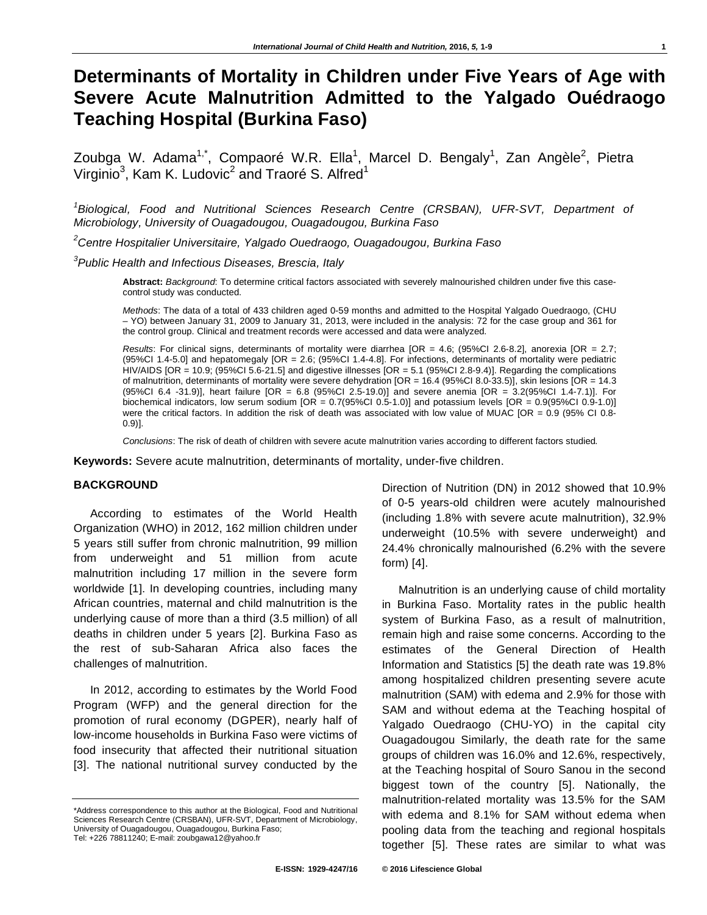# **Determinants of Mortality in Children under Five Years of Age with Severe Acute Malnutrition Admitted to the Yalgado Ouédraogo Teaching Hospital (Burkina Faso)**

Zoubga W. Adama<sup>1,\*</sup>, Compaoré W.R. Ella<sup>1</sup>, Marcel D. Bengaly<sup>1</sup>, Zan Angèle<sup>2</sup>, Pietra Virginio<sup>3</sup>, Kam K. Ludovic<sup>2</sup> and Traoré S. Alfred<sup>1</sup>

<sup>1</sup>Biological, Food and Nutritional Sciences Research Centre (CRSBAN), UFR-SVT, Department of *Microbiology, University of Ouagadougou, Ouagadougou, Burkina Faso* 

*2 Centre Hospitalier Universitaire, Yalgado Ouedraogo, Ouagadougou, Burkina Faso* 

*3 Public Health and Infectious Diseases, Brescia, Italy* 

**Abstract:** *Background*: To determine critical factors associated with severely malnourished children under five this casecontrol study was conducted.

*Methods*: The data of a total of 433 children aged 0-59 months and admitted to the Hospital Yalgado Ouedraogo, (CHU – YO) between January 31, 2009 to January 31, 2013, were included in the analysis: 72 for the case group and 361 for the control group. Clinical and treatment records were accessed and data were analyzed.

*Results*: For clinical signs, determinants of mortality were diarrhea [OR = 4.6; (95%CI 2.6-8.2], anorexia [OR = 2.7; (95%CI 1.4-5.0] and hepatomegaly [OR = 2.6; (95%CI 1.4-4.8]. For infections, determinants of mortality were pediatric HIV/AIDS [OR = 10.9; (95%CI 5.6-21.5] and digestive illnesses [OR = 5.1 (95%CI 2.8-9.4)]. Regarding the complications of malnutrition, determinants of mortality were severe dehydration [OR = 16.4 (95%CI 8.0-33.5)], skin lesions [OR = 14.3 (95%CI 6.4 -31.9)], heart failure [OR = 6.8 (95%CI 2.5-19.0)] and severe anemia [OR = 3.2(95%CI 1.4-7.1)]. For biochemical indicators, low serum sodium  $[OR = 0.7(95\%C1 0.5-1.0)]$  and potassium levels  $[OR = 0.9(95\%C1 0.9-1.0)]$ were the critical factors. In addition the risk of death was associated with low value of MUAC [OR = 0.9 (95% CI 0.8-0.9)].

*Conclusions*: The risk of death of children with severe acute malnutrition varies according to different factors studied.

**Keywords:** Severe acute malnutrition, determinants of mortality, under-five children.

## **BACKGROUND**

According to estimates of the World Health Organization (WHO) in 2012, 162 million children under 5 years still suffer from chronic malnutrition, 99 million from underweight and 51 million from acute malnutrition including 17 million in the severe form worldwide [1]. In developing countries, including many African countries, maternal and child malnutrition is the underlying cause of more than a third (3.5 million) of all deaths in children under 5 years [2]. Burkina Faso as the rest of sub-Saharan Africa also faces the challenges of malnutrition.

In 2012, according to estimates by the World Food Program (WFP) and the general direction for the promotion of rural economy (DGPER), nearly half of low-income households in Burkina Faso were victims of food insecurity that affected their nutritional situation [3]. The national nutritional survey conducted by the

Direction of Nutrition (DN) in 2012 showed that 10.9% of 0-5 years-old children were acutely malnourished (including 1.8% with severe acute malnutrition), 32.9% underweight (10.5% with severe underweight) and 24.4% chronically malnourished (6.2% with the severe form) [4].

Malnutrition is an underlying cause of child mortality in Burkina Faso. Mortality rates in the public health system of Burkina Faso, as a result of malnutrition, remain high and raise some concerns. According to the estimates of the General Direction of Health Information and Statistics [5] the death rate was 19.8% among hospitalized children presenting severe acute malnutrition (SAM) with edema and 2.9% for those with SAM and without edema at the Teaching hospital of Yalgado Ouedraogo (CHU-YO) in the capital city Ouagadougou Similarly, the death rate for the same groups of children was 16.0% and 12.6%, respectively, at the Teaching hospital of Souro Sanou in the second biggest town of the country [5]. Nationally, the malnutrition-related mortality was 13.5% for the SAM with edema and 8.1% for SAM without edema when pooling data from the teaching and regional hospitals together [5]. These rates are similar to what was

<sup>\*</sup>Address correspondence to this author at the Biological, Food and Nutritional Sciences Research Centre (CRSBAN), UFR-SVT, Department of Microbiology, University of Ouagadougou, Ouagadougou, Burkina Faso; Tel: +226 78811240; E-mail: zoubgawa12@yahoo.fr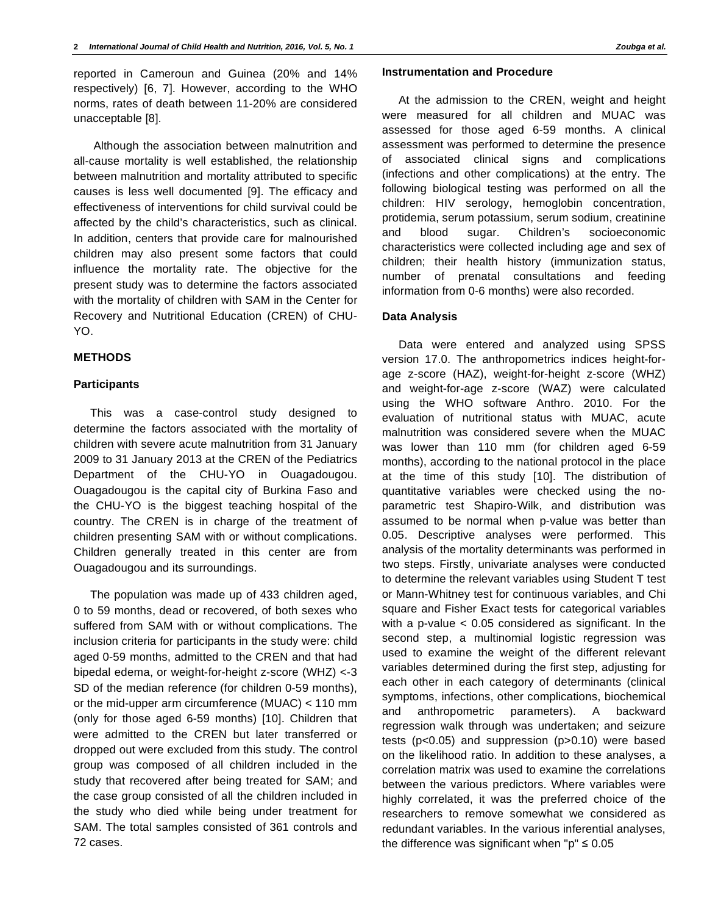reported in Cameroun and Guinea (20% and 14% respectively) [6, 7]. However, according to the WHO norms, rates of death between 11-20% are considered unacceptable [8].

 Although the association between malnutrition and all-cause mortality is well established, the relationship between malnutrition and mortality attributed to specific causes is less well documented [9]. The efficacy and effectiveness of interventions for child survival could be affected by the child's characteristics, such as clinical. In addition, centers that provide care for malnourished children may also present some factors that could influence the mortality rate. The objective for the present study was to determine the factors associated with the mortality of children with SAM in the Center for Recovery and Nutritional Education (CREN) of CHU-YO.

# **METHODS**

### **Participants**

This was a case-control study designed to determine the factors associated with the mortality of children with severe acute malnutrition from 31 January 2009 to 31 January 2013 at the CREN of the Pediatrics Department of the CHU-YO in Ouagadougou. Ouagadougou is the capital city of Burkina Faso and the CHU-YO is the biggest teaching hospital of the country. The CREN is in charge of the treatment of children presenting SAM with or without complications. Children generally treated in this center are from Ouagadougou and its surroundings.

The population was made up of 433 children aged, 0 to 59 months, dead or recovered, of both sexes who suffered from SAM with or without complications. The inclusion criteria for participants in the study were: child aged 0-59 months, admitted to the CREN and that had bipedal edema, or weight-for-height z-score (WHZ) <-3 SD of the median reference (for children 0-59 months), or the mid-upper arm circumference (MUAC) < 110 mm (only for those aged 6-59 months) [10]. Children that were admitted to the CREN but later transferred or dropped out were excluded from this study. The control group was composed of all children included in the study that recovered after being treated for SAM; and the case group consisted of all the children included in the study who died while being under treatment for SAM. The total samples consisted of 361 controls and 72 cases.

# **Instrumentation and Procedure**

At the admission to the CREN, weight and height were measured for all children and MUAC was assessed for those aged 6-59 months. A clinical assessment was performed to determine the presence of associated clinical signs and complications (infections and other complications) at the entry. The following biological testing was performed on all the children: HIV serology, hemoglobin concentration, protidemia, serum potassium, serum sodium, creatinine and blood sugar. Children's socioeconomic characteristics were collected including age and sex of children; their health history (immunization status, number of prenatal consultations and feeding information from 0-6 months) were also recorded.

#### **Data Analysis**

Data were entered and analyzed using SPSS version 17.0. The anthropometrics indices height-forage z-score (HAZ), weight-for-height z-score (WHZ) and weight-for-age z-score (WAZ) were calculated using the WHO software Anthro. 2010. For the evaluation of nutritional status with MUAC, acute malnutrition was considered severe when the MUAC was lower than 110 mm (for children aged 6-59 months), according to the national protocol in the place at the time of this study [10]. The distribution of quantitative variables were checked using the noparametric test Shapiro-Wilk, and distribution was assumed to be normal when p-value was better than 0.05. Descriptive analyses were performed. This analysis of the mortality determinants was performed in two steps. Firstly, univariate analyses were conducted to determine the relevant variables using Student T test or Mann-Whitney test for continuous variables, and Chi square and Fisher Exact tests for categorical variables with a p-value < 0.05 considered as significant. In the second step, a multinomial logistic regression was used to examine the weight of the different relevant variables determined during the first step, adjusting for each other in each category of determinants (clinical symptoms, infections, other complications, biochemical and anthropometric parameters). A backward regression walk through was undertaken; and seizure tests (p<0.05) and suppression (p>0.10) were based on the likelihood ratio. In addition to these analyses, a correlation matrix was used to examine the correlations between the various predictors. Where variables were highly correlated, it was the preferred choice of the researchers to remove somewhat we considered as redundant variables. In the various inferential analyses, the difference was significant when " $p$ "  $\leq 0.05$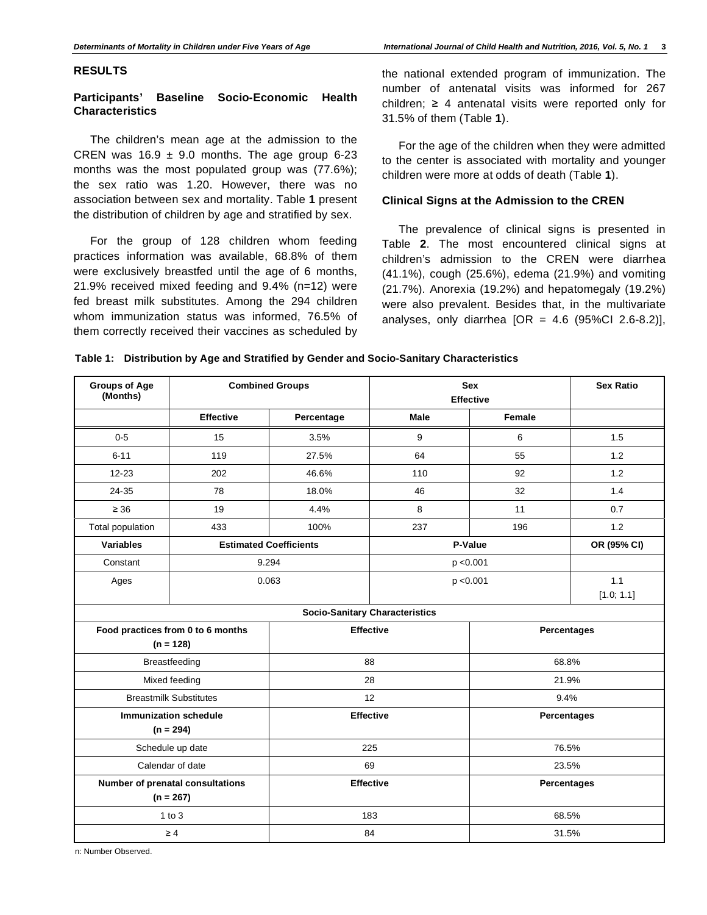### **RESULTS**

# **Participants' Baseline Socio-Economic Health Characteristics**

The children's mean age at the admission to the CREN was  $16.9 \pm 9.0$  months. The age group 6-23 months was the most populated group was (77.6%); the sex ratio was 1.20. However, there was no association between sex and mortality. Table **1** present the distribution of children by age and stratified by sex.

For the group of 128 children whom feeding practices information was available, 68.8% of them were exclusively breastfed until the age of 6 months, 21.9% received mixed feeding and 9.4% (n=12) were fed breast milk substitutes. Among the 294 children whom immunization status was informed, 76.5% of them correctly received their vaccines as scheduled by

the national extended program of immunization. The number of antenatal visits was informed for 267 children;  $\geq 4$  antenatal visits were reported only for 31.5% of them (Table **1**).

For the age of the children when they were admitted to the center is associated with mortality and younger children were more at odds of death (Table **1**).

## **Clinical Signs at the Admission to the CREN**

The prevalence of clinical signs is presented in Table **2**. The most encountered clinical signs at children's admission to the CREN were diarrhea (41.1%), cough (25.6%), edema (21.9%) and vomiting (21.7%). Anorexia (19.2%) and hepatomegaly (19.2%) were also prevalent. Besides that, in the multivariate analyses, only diarrhea  $[OR = 4.6 (95\% CI 2.6-8.2)],$ 

#### **Table 1: Distribution by Age and Stratified by Gender and Socio-Sanitary Characteristics**

| <b>Groups of Age</b><br>(Months)            | <b>Combined Groups</b>           |            | <b>Sex</b><br><b>Effective</b>        |                    | <b>Sex Ratio</b>   |  |
|---------------------------------------------|----------------------------------|------------|---------------------------------------|--------------------|--------------------|--|
|                                             | <b>Effective</b>                 | Percentage | Male                                  | Female             |                    |  |
| $0-5$                                       | 15                               | 3.5%       | 9                                     | 6                  | 1.5                |  |
| $6 - 11$                                    | 119                              | 27.5%      | 64                                    | 55                 | 1.2                |  |
| $12 - 23$                                   | 202                              | 46.6%      | 110                                   | 92                 | 1.2                |  |
| 24-35                                       | 78                               | 18.0%      | 46                                    | 32                 | 1.4                |  |
| $\geq 36$                                   | 19                               | 4.4%       | 8                                     | 11                 | 0.7                |  |
| Total population                            | 433                              | 100%       | 237                                   | 196                | 1.2                |  |
| <b>Variables</b>                            | <b>Estimated Coefficients</b>    |            | P-Value                               |                    | OR (95% CI)        |  |
| Constant                                    |                                  | 9.294      | p < 0.001                             |                    |                    |  |
| Ages                                        |                                  | 0.063      | 1.1<br>p < 0.001                      |                    |                    |  |
|                                             |                                  |            |                                       |                    | [1.0; 1.1]         |  |
|                                             |                                  |            | <b>Socio-Sanitary Characteristics</b> |                    |                    |  |
| Food practices from 0 to 6 months           |                                  |            | <b>Effective</b>                      |                    | Percentages        |  |
|                                             | $(n = 128)$                      |            |                                       |                    |                    |  |
| Breastfeeding                               |                                  |            | 88                                    | 68.8%              |                    |  |
|                                             | 28<br>Mixed feeding<br>21.9%     |            |                                       |                    |                    |  |
|                                             | <b>Breastmilk Substitutes</b>    | 12         |                                       | 9.4%               |                    |  |
| <b>Immunization schedule</b><br>$(n = 294)$ |                                  |            | <b>Effective</b>                      |                    | <b>Percentages</b> |  |
|                                             | Schedule up date<br>225<br>76.5% |            |                                       |                    |                    |  |
|                                             | Calendar of date<br>69<br>23.5%  |            |                                       |                    |                    |  |
| Number of prenatal consultations            |                                  |            | <b>Effective</b>                      | <b>Percentages</b> |                    |  |
|                                             | $(n = 267)$                      |            |                                       |                    |                    |  |
| $1$ to $3$                                  |                                  |            | 183                                   | 68.5%              |                    |  |
| $\geq 4$                                    |                                  |            | 84                                    | 31.5%              |                    |  |

n: Number Observed.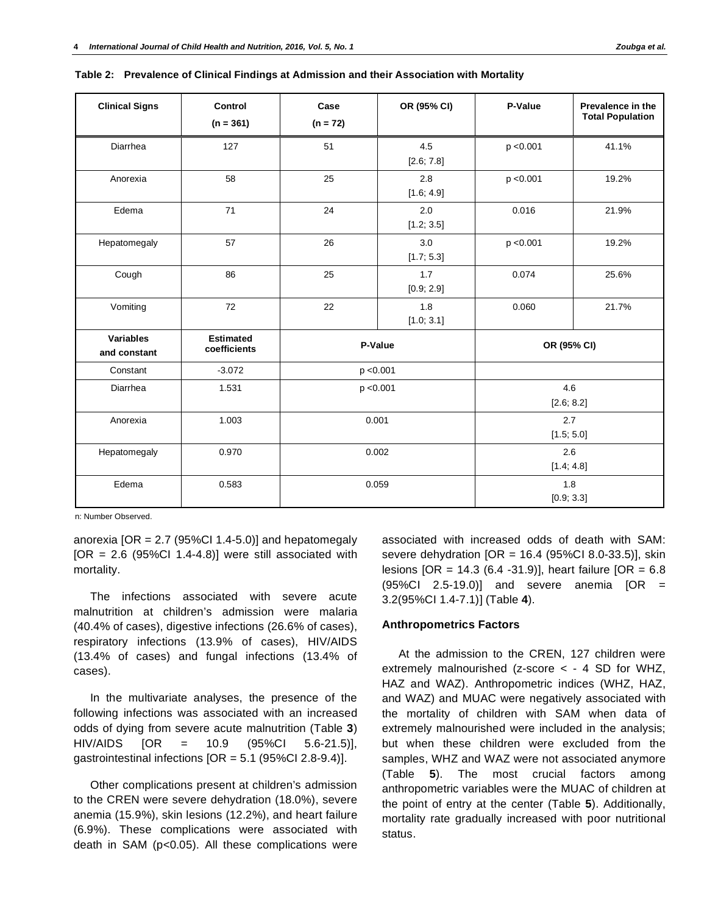| <b>Clinical Signs</b>     | Control<br>$(n = 361)$           | Case<br>$(n = 72)$ | OR (95% CI)       | P-Value           | Prevalence in the<br><b>Total Population</b> |
|---------------------------|----------------------------------|--------------------|-------------------|-------------------|----------------------------------------------|
| Diarrhea                  | 127                              | 51                 | 4.5<br>[2.6; 7.8] | p < 0.001         | 41.1%                                        |
| Anorexia                  | 58                               | 25                 | 2.8<br>[1.6; 4.9] | p < 0.001         | 19.2%                                        |
| Edema                     | 71                               | 24                 | 2.0<br>[1.2; 3.5] | 0.016             | 21.9%                                        |
| Hepatomegaly              | 57                               | 26                 | 3.0<br>[1.7; 5.3] | p < 0.001         | 19.2%                                        |
| Cough                     | 86                               | 25                 | 1.7<br>[0.9; 2.9] | 0.074             | 25.6%                                        |
| Vomiting                  | 72                               | 22                 | 1.8<br>[1.0; 3.1] | 0.060             | 21.7%                                        |
| Variables<br>and constant | <b>Estimated</b><br>coefficients | P-Value            |                   | OR (95% CI)       |                                              |
| Constant                  | $-3.072$                         |                    | p < 0.001         |                   |                                              |
| Diarrhea                  | 1.531                            | p < 0.001          |                   | 4.6<br>[2.6; 8.2] |                                              |
| Anorexia                  | 1.003                            | 0.001              |                   | 2.7<br>[1.5; 5.0] |                                              |
| Hepatomegaly              | 0.970                            | 0.002              |                   | 2.6<br>[1.4; 4.8] |                                              |
| Edema                     | 0.583                            | 0.059              |                   | 1.8<br>[0.9; 3.3] |                                              |

|  | Table 2: Prevalence of Clinical Findings at Admission and their Association with Mortality |
|--|--------------------------------------------------------------------------------------------|
|--|--------------------------------------------------------------------------------------------|

n: Number Observed.

anorexia  $[OR = 2.7 (95\% CI 1.4-5.0)]$  and hepatomegaly  $[OR = 2.6 (95\% CI 1.4-4.8)]$  were still associated with mortality.

The infections associated with severe acute malnutrition at children's admission were malaria (40.4% of cases), digestive infections (26.6% of cases), respiratory infections (13.9% of cases), HIV/AIDS (13.4% of cases) and fungal infections (13.4% of cases).

In the multivariate analyses, the presence of the following infections was associated with an increased odds of dying from severe acute malnutrition (Table **3**) HIV/AIDS [OR = 10.9 (95%CI 5.6-21.5)], gastrointestinal infections [OR = 5.1 (95%CI 2.8-9.4)].

Other complications present at children's admission to the CREN were severe dehydration (18.0%), severe anemia (15.9%), skin lesions (12.2%), and heart failure (6.9%). These complications were associated with death in SAM (p<0.05). All these complications were associated with increased odds of death with SAM: severe dehydration  $[OR = 16.4 (95\% CI 8.0-33.5)],$  skin lesions [OR = 14.3 (6.4 -31.9)], heart failure [OR = 6.8 (95%CI 2.5-19.0)] and severe anemia [OR = 3.2(95%CI 1.4-7.1)] (Table **4**).

# **Anthropometrics Factors**

At the admission to the CREN, 127 children were extremely malnourished (z-score < - 4 SD for WHZ, HAZ and WAZ). Anthropometric indices (WHZ, HAZ, and WAZ) and MUAC were negatively associated with the mortality of children with SAM when data of extremely malnourished were included in the analysis; but when these children were excluded from the samples, WHZ and WAZ were not associated anymore (Table **5**). The most crucial factors among anthropometric variables were the MUAC of children at the point of entry at the center (Table **5**). Additionally, mortality rate gradually increased with poor nutritional status.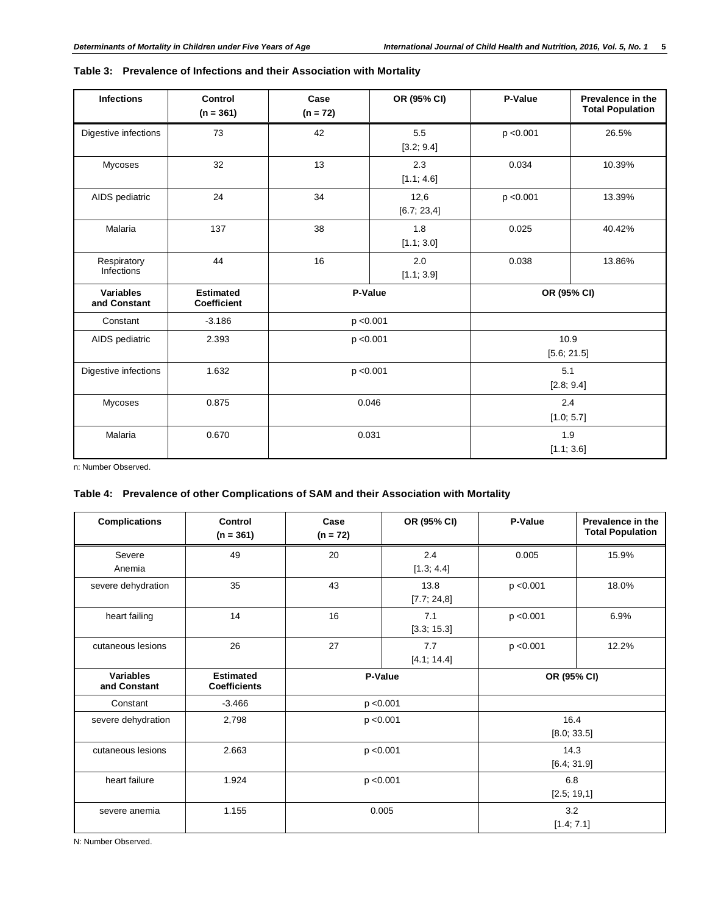| <b>Infections</b>                | Control<br>$(n = 361)$          | Case<br>$(n = 72)$ | OR (95% CI)         | P-Value             | Prevalence in the<br><b>Total Population</b> |
|----------------------------------|---------------------------------|--------------------|---------------------|---------------------|----------------------------------------------|
| Digestive infections             | 73                              | 42                 | 5.5<br>[3.2; 9.4]   | p < 0.001           | 26.5%                                        |
| Mycoses                          | 32                              | 13                 | 2.3<br>[1.1; 4.6]   | 0.034               | 10.39%                                       |
| AIDS pediatric                   | 24                              | 34                 | 12,6<br>[6.7; 23,4] | p < 0.001           | 13.39%                                       |
| Malaria                          | 137                             | 38                 | 1.8<br>[1.1; 3.0]   | 0.025               | 40.42%                                       |
| Respiratory<br>Infections        | 44                              | 16                 | 2.0<br>[1.1; 3.9]   | 0.038               | 13.86%                                       |
| <b>Variables</b><br>and Constant | <b>Estimated</b><br>Coefficient | P-Value            |                     |                     | OR (95% CI)                                  |
| Constant                         | $-3.186$                        | p < 0.001          |                     |                     |                                              |
| AIDS pediatric                   | 2.393                           | p < 0.001          |                     | 10.9<br>[5.6; 21.5] |                                              |
| Digestive infections             | 1.632                           | p < 0.001          |                     | 5.1<br>[2.8; 9.4]   |                                              |
| <b>Mycoses</b>                   | 0.875                           | 0.046              |                     | 2.4<br>[1.0; 5.7]   |                                              |
| Malaria                          | 0.670                           | 0.031              |                     | 1.9<br>[1.1; 3.6]   |                                              |

# **Table 3: Prevalence of Infections and their Association with Mortality**

n: Number Observed.

# **Table 4: Prevalence of other Complications of SAM and their Association with Mortality**

| <b>Complications</b>      | Control<br>$(n = 361)$                  | Case<br>$(n = 72)$ | OR (95% CI)         | P-Value             | Prevalence in the<br><b>Total Population</b> |  |
|---------------------------|-----------------------------------------|--------------------|---------------------|---------------------|----------------------------------------------|--|
| Severe<br>Anemia          | 49                                      | 20                 | 2.4<br>[1.3; 4.4]   | 0.005               | 15.9%                                        |  |
| severe dehydration        | 35                                      | 43                 | 13.8<br>[7.7; 24.8] | p < 0.001           | 18.0%                                        |  |
| heart failing             | 14                                      | 16                 | 7.1<br>[3.3; 15.3]  | p < 0.001           | 6.9%                                         |  |
| cutaneous lesions         | 26                                      | 27                 | 7.7<br>[4.1; 14.4]  | p < 0.001           | 12.2%                                        |  |
| Variables<br>and Constant | <b>Estimated</b><br><b>Coefficients</b> | P-Value            |                     |                     | OR (95% CI)                                  |  |
| Constant                  | $-3.466$                                | p < 0.001          |                     |                     |                                              |  |
| severe dehydration        | 2,798                                   | p < 0.001          |                     | 16.4<br>[8.0; 33.5] |                                              |  |
| cutaneous lesions         | 2.663                                   | p < 0.001          |                     | 14.3<br>[6.4; 31.9] |                                              |  |
| heart failure             | 1.924                                   | p < 0.001          |                     | 6.8<br>[2.5; 19,1]  |                                              |  |
| severe anemia             | 1.155                                   | 0.005              |                     |                     | 3.2<br>[1.4; 7.1]                            |  |

N: Number Observed.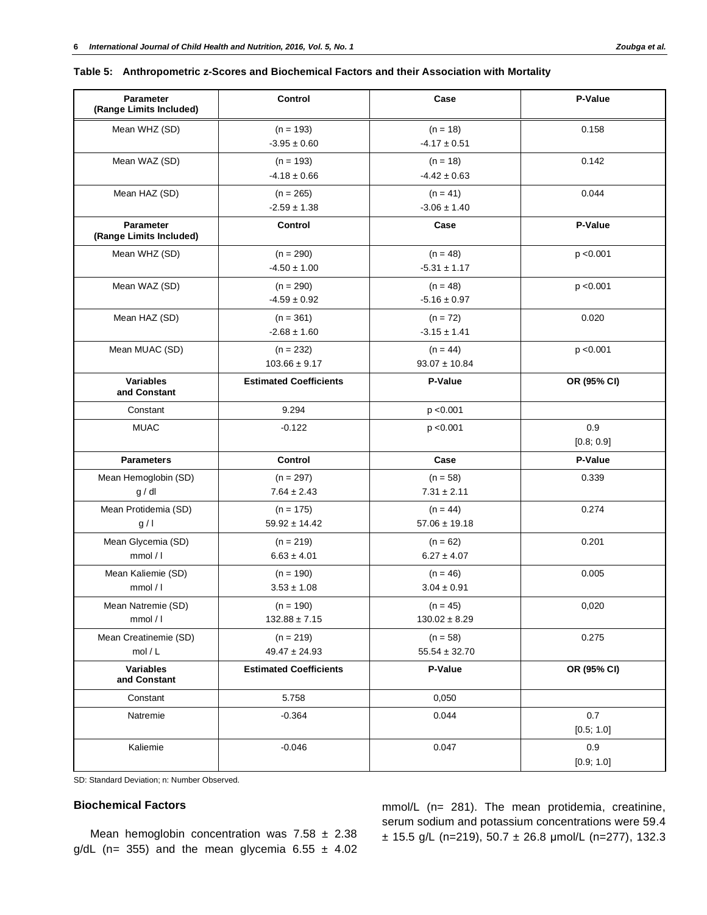| <b>Parameter</b><br>(Range Limits Included) | Control                          | Case                            | P-Value           |
|---------------------------------------------|----------------------------------|---------------------------------|-------------------|
| Mean WHZ (SD)                               | $(n = 193)$<br>$-3.95 \pm 0.60$  | $(n = 18)$<br>$-4.17 \pm 0.51$  | 0.158             |
| Mean WAZ (SD)                               | $(n = 193)$<br>$-4.18 \pm 0.66$  | $(n = 18)$<br>$-4.42 \pm 0.63$  | 0.142             |
| Mean HAZ (SD)                               | $(n = 265)$<br>$-2.59 \pm 1.38$  | $(n = 41)$<br>$-3.06 \pm 1.40$  | 0.044             |
| <b>Parameter</b><br>(Range Limits Included) | Control                          | Case                            | P-Value           |
| Mean WHZ (SD)                               | $(n = 290)$<br>$-4.50 \pm 1.00$  | $(n = 48)$<br>$-5.31 \pm 1.17$  | p < 0.001         |
| Mean WAZ (SD)                               | $(n = 290)$<br>$-4.59 \pm 0.92$  | $(n = 48)$<br>$-5.16 \pm 0.97$  | p < 0.001         |
| Mean HAZ (SD)                               | $(n = 361)$<br>$-2.68 \pm 1.60$  | $(n = 72)$<br>$-3.15 \pm 1.41$  | 0.020             |
| Mean MUAC (SD)                              | $(n = 232)$<br>$103.66 \pm 9.17$ | $(n = 44)$<br>$93.07 \pm 10.84$ | p < 0.001         |
| <b>Variables</b><br>and Constant            | <b>Estimated Coefficients</b>    | P-Value                         | OR (95% CI)       |
| Constant                                    | 9.294                            | p < 0.001                       |                   |
| <b>MUAC</b>                                 | $-0.122$                         | p < 0.001                       | 0.9<br>[0.8; 0.9] |
| <b>Parameters</b>                           | Control                          | Case                            | P-Value           |
| Mean Hemoglobin (SD)<br>g/dl                | $(n = 297)$<br>$7.64 \pm 2.43$   | $(n = 58)$<br>$7.31 \pm 2.11$   | 0.339             |
| Mean Protidemia (SD)<br>g/1                 | $(n = 175)$<br>$59.92 \pm 14.42$ | $(n = 44)$<br>$57.06 \pm 19.18$ | 0.274             |
| Mean Glycemia (SD)<br>mmol/l                | $(n = 219)$<br>$6.63 \pm 4.01$   | $(n = 62)$<br>$6.27 \pm 4.07$   | 0.201             |
| Mean Kaliemie (SD)<br>mmol / I              | $(n = 190)$<br>$3.53 \pm 1.08$   | $(n = 46)$<br>$3.04 \pm 0.91$   | 0.005             |
| Mean Natremie (SD)<br>mmol/l                | $(n = 190)$<br>$132.88 \pm 7.15$ | $(n = 45)$<br>$130.02 \pm 8.29$ | 0,020             |
| Mean Creatinemie (SD)<br>mol/L              | $(n = 219)$<br>$49.47 \pm 24.93$ | $(n = 58)$<br>$55.54 \pm 32.70$ | 0.275             |
| <b>Variables</b><br>and Constant            | <b>Estimated Coefficients</b>    | P-Value                         | OR (95% CI)       |
| Constant                                    | 5.758                            | 0,050                           |                   |
| Natremie                                    | $-0.364$                         | 0.044                           | 0.7<br>[0.5; 1.0] |
| Kaliemie                                    | $-0.046$                         | 0.047                           | 0.9<br>[0.9; 1.0] |

SD: Standard Deviation; n: Number Observed.

# **Biochemical Factors**

Mean hemoglobin concentration was  $7.58 \pm 2.38$ g/dL (n= 355) and the mean glycemia  $6.55 \pm 4.02$  mmol/L (n= 281). The mean protidemia, creatinine, serum sodium and potassium concentrations were 59.4  $\pm$  15.5 g/L (n=219), 50.7  $\pm$  26.8 µmol/L (n=277), 132.3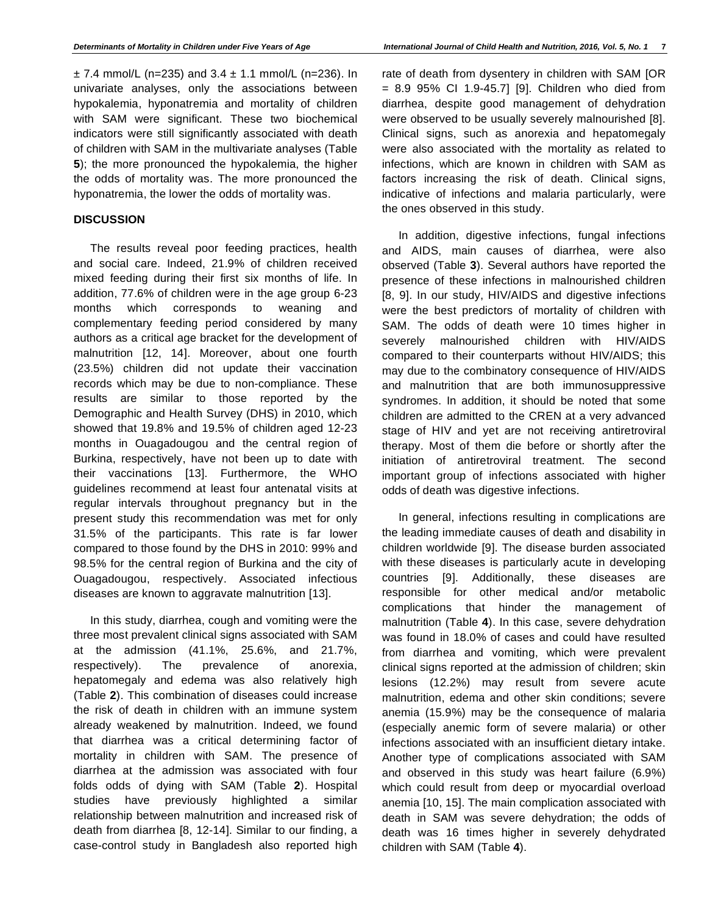$\pm$  7.4 mmol/L (n=235) and 3.4  $\pm$  1.1 mmol/L (n=236). In univariate analyses, only the associations between hypokalemia, hyponatremia and mortality of children with SAM were significant. These two biochemical indicators were still significantly associated with death of children with SAM in the multivariate analyses (Table **5**); the more pronounced the hypokalemia, the higher the odds of mortality was. The more pronounced the hyponatremia, the lower the odds of mortality was.

## **DISCUSSION**

The results reveal poor feeding practices, health and social care. Indeed, 21.9% of children received mixed feeding during their first six months of life. In addition, 77.6% of children were in the age group 6-23 months which corresponds to weaning and complementary feeding period considered by many authors as a critical age bracket for the development of malnutrition [12, 14]. Moreover, about one fourth (23.5%) children did not update their vaccination records which may be due to non-compliance. These results are similar to those reported by the Demographic and Health Survey (DHS) in 2010, which showed that 19.8% and 19.5% of children aged 12-23 months in Ouagadougou and the central region of Burkina, respectively, have not been up to date with their vaccinations [13]. Furthermore, the WHO guidelines recommend at least four antenatal visits at regular intervals throughout pregnancy but in the present study this recommendation was met for only 31.5% of the participants. This rate is far lower compared to those found by the DHS in 2010: 99% and 98.5% for the central region of Burkina and the city of Ouagadougou, respectively. Associated infectious diseases are known to aggravate malnutrition [13].

In this study, diarrhea, cough and vomiting were the three most prevalent clinical signs associated with SAM at the admission (41.1%, 25.6%, and 21.7%, respectively). The prevalence of anorexia, hepatomegaly and edema was also relatively high (Table **2**). This combination of diseases could increase the risk of death in children with an immune system already weakened by malnutrition. Indeed, we found that diarrhea was a critical determining factor of mortality in children with SAM. The presence of diarrhea at the admission was associated with four folds odds of dying with SAM (Table **2**). Hospital studies have previously highlighted a similar relationship between malnutrition and increased risk of death from diarrhea [8, 12-14]. Similar to our finding, a case-control study in Bangladesh also reported high rate of death from dysentery in children with SAM [OR = 8.9 95% CI 1.9-45.7] [9]. Children who died from diarrhea, despite good management of dehydration were observed to be usually severely malnourished [8]. Clinical signs, such as anorexia and hepatomegaly were also associated with the mortality as related to infections, which are known in children with SAM as factors increasing the risk of death. Clinical signs, indicative of infections and malaria particularly, were the ones observed in this study.

In addition, digestive infections, fungal infections and AIDS, main causes of diarrhea, were also observed (Table **3**). Several authors have reported the presence of these infections in malnourished children [8, 9]. In our study, HIV/AIDS and digestive infections were the best predictors of mortality of children with SAM. The odds of death were 10 times higher in severely malnourished children with HIV/AIDS compared to their counterparts without HIV/AIDS; this may due to the combinatory consequence of HIV/AIDS and malnutrition that are both immunosuppressive syndromes. In addition, it should be noted that some children are admitted to the CREN at a very advanced stage of HIV and yet are not receiving antiretroviral therapy. Most of them die before or shortly after the initiation of antiretroviral treatment. The second important group of infections associated with higher odds of death was digestive infections.

In general, infections resulting in complications are the leading immediate causes of death and disability in children worldwide [9]. The disease burden associated with these diseases is particularly acute in developing countries [9]. Additionally, these diseases are responsible for other medical and/or metabolic complications that hinder the management of malnutrition (Table **4**). In this case, severe dehydration was found in 18.0% of cases and could have resulted from diarrhea and vomiting, which were prevalent clinical signs reported at the admission of children; skin lesions (12.2%) may result from severe acute malnutrition, edema and other skin conditions; severe anemia (15.9%) may be the consequence of malaria (especially anemic form of severe malaria) or other infections associated with an insufficient dietary intake. Another type of complications associated with SAM and observed in this study was heart failure (6.9%) which could result from deep or myocardial overload anemia [10, 15]. The main complication associated with death in SAM was severe dehydration; the odds of death was 16 times higher in severely dehydrated children with SAM (Table **4**).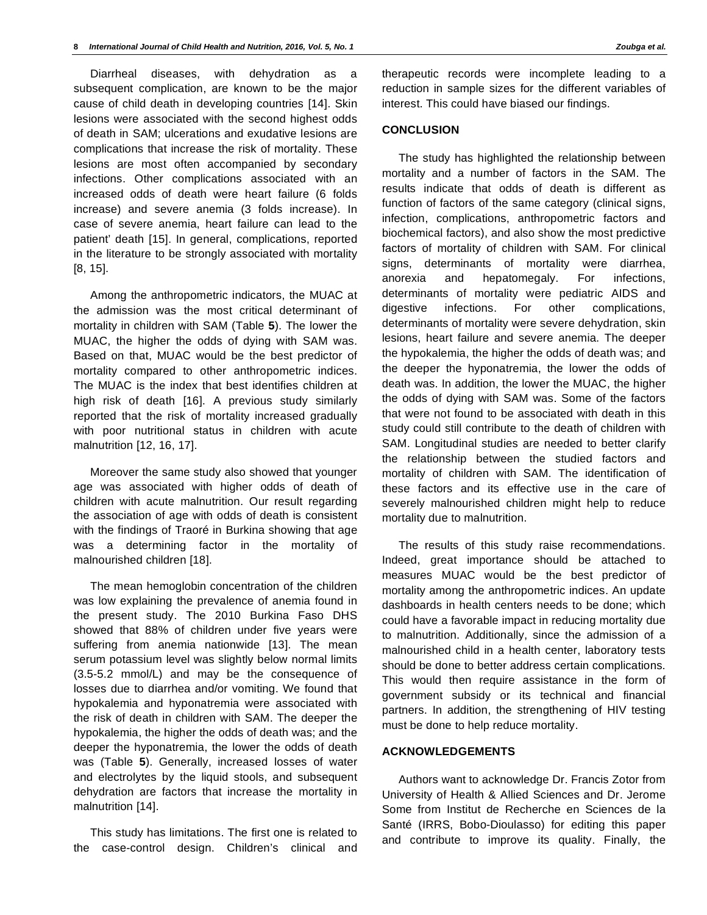Diarrheal diseases, with dehydration as a subsequent complication, are known to be the major cause of child death in developing countries [14]. Skin lesions were associated with the second highest odds of death in SAM; ulcerations and exudative lesions are complications that increase the risk of mortality. These lesions are most often accompanied by secondary infections. Other complications associated with an increased odds of death were heart failure (6 folds increase) and severe anemia (3 folds increase). In case of severe anemia, heart failure can lead to the patient' death [15]. In general, complications, reported in the literature to be strongly associated with mortality [8, 15].

Among the anthropometric indicators, the MUAC at the admission was the most critical determinant of mortality in children with SAM (Table **5**). The lower the MUAC, the higher the odds of dying with SAM was. Based on that, MUAC would be the best predictor of mortality compared to other anthropometric indices. The MUAC is the index that best identifies children at high risk of death [16]. A previous study similarly reported that the risk of mortality increased gradually with poor nutritional status in children with acute malnutrition [12, 16, 17].

Moreover the same study also showed that younger age was associated with higher odds of death of children with acute malnutrition. Our result regarding the association of age with odds of death is consistent with the findings of Traoré in Burkina showing that age was a determining factor in the mortality of malnourished children [18].

The mean hemoglobin concentration of the children was low explaining the prevalence of anemia found in the present study. The 2010 Burkina Faso DHS showed that 88% of children under five years were suffering from anemia nationwide [13]. The mean serum potassium level was slightly below normal limits (3.5-5.2 mmol/L) and may be the consequence of losses due to diarrhea and/or vomiting. We found that hypokalemia and hyponatremia were associated with the risk of death in children with SAM. The deeper the hypokalemia, the higher the odds of death was; and the deeper the hyponatremia, the lower the odds of death was (Table **5**). Generally, increased losses of water and electrolytes by the liquid stools, and subsequent dehydration are factors that increase the mortality in malnutrition [14].

This study has limitations. The first one is related to the case-control design. Children's clinical and

therapeutic records were incomplete leading to a reduction in sample sizes for the different variables of interest. This could have biased our findings.

# **CONCLUSION**

The study has highlighted the relationship between mortality and a number of factors in the SAM. The results indicate that odds of death is different as function of factors of the same category (clinical signs, infection, complications, anthropometric factors and biochemical factors), and also show the most predictive factors of mortality of children with SAM. For clinical signs, determinants of mortality were diarrhea, anorexia and hepatomegaly. For infections, determinants of mortality were pediatric AIDS and digestive infections. For other complications, determinants of mortality were severe dehydration, skin lesions, heart failure and severe anemia. The deeper the hypokalemia, the higher the odds of death was; and the deeper the hyponatremia, the lower the odds of death was. In addition, the lower the MUAC, the higher the odds of dying with SAM was. Some of the factors that were not found to be associated with death in this study could still contribute to the death of children with SAM. Longitudinal studies are needed to better clarify the relationship between the studied factors and mortality of children with SAM. The identification of these factors and its effective use in the care of severely malnourished children might help to reduce mortality due to malnutrition.

The results of this study raise recommendations. Indeed, great importance should be attached to measures MUAC would be the best predictor of mortality among the anthropometric indices. An update dashboards in health centers needs to be done; which could have a favorable impact in reducing mortality due to malnutrition. Additionally, since the admission of a malnourished child in a health center, laboratory tests should be done to better address certain complications. This would then require assistance in the form of government subsidy or its technical and financial partners. In addition, the strengthening of HIV testing must be done to help reduce mortality.

# **ACKNOWLEDGEMENTS**

Authors want to acknowledge Dr. Francis Zotor from University of Health & Allied Sciences and Dr. Jerome Some from Institut de Recherche en Sciences de la Santé (IRRS, Bobo-Dioulasso) for editing this paper and contribute to improve its quality. Finally, the